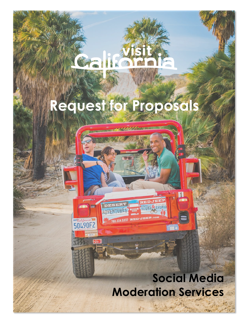`

# **Request for Proposals**

AUGE California

## **Social Media Moderation Services**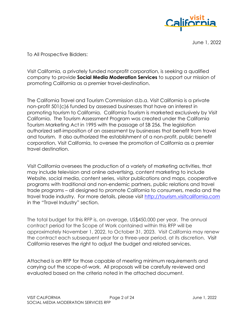

June 1, 2022

To All Prospective Bidders:

Visit California, a privately funded nonprofit corporation, is seeking a qualified company to provide **Social Media Moderation Services** to support our mission of promoting California as a premier travel-destination.

The California Travel and Tourism Commission d.b.a. Visit California is a private non-profit 501(c)6 funded by assessed businesses that have an interest in promoting tourism to California. California Tourism is marketed exclusively by Visit California. The Tourism Assessment Program was created under the California Tourism Marketing Act in 1995 with the passage of SB 256. The legislation authorized self-imposition of an assessment by businesses that benefit from travel and tourism. It also authorized the establishment of a non-profit, public benefit corporation, Visit California, to oversee the promotion of California as a premier travel destination.

Visit California oversees the production of a variety of marketing activities, that may include television and online advertising, content marketing to include Website, social media, content series, visitor publications and maps, cooperative programs with traditional and non-endemic partners, public relations and travel trade programs – all designed to promote California to consumers, media and the travel trade industry. For more details, please visit [http://tourism.visitcalifornia.com](http://tourism.visitcalifornia.com/)  in the "Travel Industry" section.

The total budget for this RFP is, on average, US\$450,000 per year.The annual contract period for the Scope of Work contained within this RFP will be approximately November 1, 2022, to October 31, 2023. Visit California may renew the contract each subsequent year for a three-year period, at its discretion. Visit California reserves the right to adjust the budget and related services.

Attached is an RFP for those capable of meeting minimum requirements and carrying out the scope-of-work. All proposals will be carefully reviewed and evaluated based on the criteria noted in the attached document.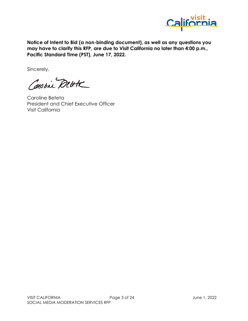

**Notice of Intent to Bid (a non-binding document), as well as any questions you may have to clarify this RFP, are due to Visit California no later than 4:00 p.m., Pacific Standard Time (PST), June 17, 2022.** 

Sincerely,

Constine Dette

Caroline Beteta President and Chief Executive Officer Visit California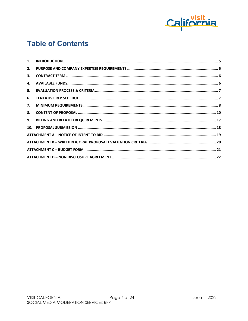

#### **Table of Contents**

| 1. |  |
|----|--|
| 2. |  |
| 3. |  |
| 4. |  |
| 5. |  |
| 6. |  |
| 7. |  |
| 8. |  |
| 9. |  |
|    |  |
|    |  |
|    |  |
|    |  |
|    |  |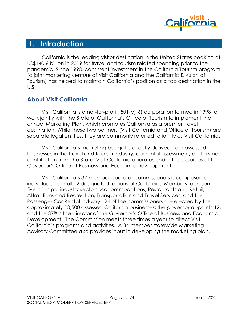

#### <span id="page-4-0"></span>**1. Introduction**

California is the leading visitor destination in the United States peaking at US\$140.6 billion in 2019 for travel and tourism related spending prior to the pandemic. Since 1998, consistent investment in the California Tourism program (a joint marketing venture of Visit California and the California Division of Tourism) has helped to maintain California's position as a top destination in the U.S.

#### **About Visit California**

Visit California is a not-for-profit, 501(c)(6) corporation formed in 1998 to work jointly with the State of California's Office of Tourism to implement the annual Marketing Plan, which promotes California as a premier travel destination. While these two partners (Visit California and Office of Tourism) are separate legal entities, they are commonly referred to jointly as Visit California.

Visit California's marketing budget is directly derived from assessed businesses in the travel and tourism industry, car rental assessment, and a small contribution from the State. Visit California operates under the auspices of the Governor's Office of Business and Economic Development.

Visit California's 37-member board of commissioners is composed of individuals from all 12 designated regions of California. Members represent five principal industry sectors: Accommodations, Restaurants and Retail, Attractions and Recreation, Transportation and Travel Services, and the Passenger Car Rental Industry. 24 of the commissioners are elected by the approximately 18,500 assessed California businesses; the governor appoints 12; and the 37th is the director of the Governor's Office of Business and Economic Development. The Commission meets three times a year to direct Visit California's programs and activities. A 34-member statewide Marketing Advisory Committee also provides input in developing the marketing plan.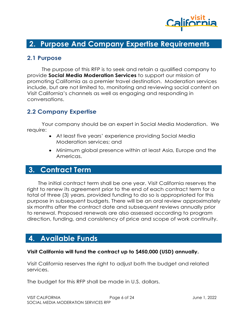

#### <span id="page-5-0"></span>**2. Purpose And Company Expertise Requirements**

#### **2.1 Purpose**

The purpose of this RFP is to seek and retain a qualified company to provide **Social Media Moderation Services** to support our mission of promoting California as a premier travel destination. Moderation services include, but are not limited to, monitoring and reviewing social content on Visit California's channels as well as engaging and responding in conversations.

#### **2.2 Company Expertise**

Your company should be an expert in Social Media Moderation. We require:

- At least five years' experience providing Social Media Moderation services; and
- Minimum global presence within at least Asia, Europe and the Americas.

#### <span id="page-5-1"></span>**3. Contract Term**

The initial contract term shall be one year. Visit California reserves the right to renew its agreement prior to the end of each contract term for a total of three (3) years, provided funding to do so is appropriated for this purpose in subsequent budgets. There will be an oral review approximately six months after the contract date and subsequent reviews annually prior to renewal. Proposed renewals are also assessed according to program direction, funding, and consistency of price and scope of work continuity.

#### <span id="page-5-2"></span>**4. Available Funds**

#### **Visit California will fund the contract up to \$450,000 (USD) annually.**

Visit California reserves the right to adjust both the budget and related services.

The budget for this RFP shall be made in U.S. dollars.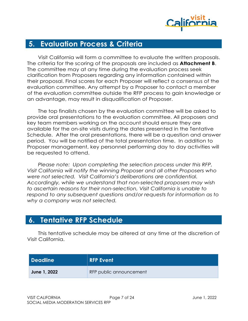

#### <span id="page-6-0"></span>**5. Evaluation Process & Criteria**

Visit California will form a committee to evaluate the written proposals. The criteria for the scoring of the proposals are included as **Attachment B**. The committee may at any time during the evaluation process seek clarification from Proposers regarding any information contained within their proposal. Final scores for each Proposer will reflect a consensus of the evaluation committee. Any attempt by a Proposer to contact a member of the evaluation committee outside the RFP process to gain knowledge or an advantage, may result in disqualification of Proposer.

The top finalists chosen by the evaluation committee will be asked to provide oral presentations to the evaluation committee. All proposers and key team members working on the account should ensure they are available for the on-site visits during the dates presented in the Tentative Schedule. After the oral presentations, there will be a question and answer period. You will be notified of the total presentation time. In addition to Proposer management, key personnel performing day to day activities will be requested to attend.

*Please note: Upon completing the selection process under this RFP, Visit California will notify the winning Proposer and all other Proposers who were not selected. Visit California's deliberations are confidential. Accordingly, while we understand that non-selected proposers may wish to ascertain reasons for their non-selection, Visit California is unable to respond to any subsequent questions and/or requests for information as to why a company was not selected.*

#### <span id="page-6-1"></span>**6. Tentative RFP Schedule**

This tentative schedule may be altered at any time at the discretion of Visit California.

| <b>Deadline</b> | RFP Event               |
|-----------------|-------------------------|
| June 1, 2022    | RFP public announcement |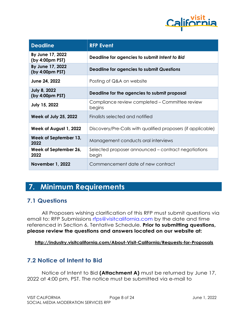

| <b>Deadline</b>                        | <b>RFP Event</b>                                             |  |  |
|----------------------------------------|--------------------------------------------------------------|--|--|
| By June 17, 2022<br>(by 4:00pm PST)    | Deadline for agencies to submit Intent to Bid                |  |  |
| By June 17, 2022<br>(by 4:00pm PST)    | Deadline for agencies to submit Questions                    |  |  |
| June 24, 2022                          | Posting of Q&A on website                                    |  |  |
| <b>July 8, 2022</b><br>(by 4:00pm PST) | Deadline for the agencies to submit proposal                 |  |  |
| <b>July 15, 2022</b>                   | Compliance review completed – Committee review<br>begins     |  |  |
| <b>Week of July 25, 2022</b>           | Finalists selected and notified                              |  |  |
| Week of August 1, 2022                 | Discovery/Pre-Calls with qualified proposers (if applicable) |  |  |
| Week of September 13,<br>2022          | Management conducts oral interviews                          |  |  |
| Week of September 26,<br>2022          | Selected proposer announced – contract negotiations<br>begin |  |  |
| <b>November 1, 2022</b>                | Commencement date of new contract                            |  |  |

#### <span id="page-7-0"></span>**7. Minimum Requirements**

#### **7.1 Questions**

All Proposers wishing clarification of this RFP must submit questions via email to: RFP Submissions rfps@visitcalifornia.com by the date and time referenced in Section 6, Tentative Schedule. **Prior to submitting questions, please review the questions and answers located on our website at:**

#### **http://industry.visitcalifornia.com/About-Visit-California/Requests-for-Proposals**

#### **7.2 Notice of Intent to Bid**

Notice of Intent to Bid **(Attachment A)** must be returned by June 17, 2022 at 4:00 pm, PST. The notice must be submitted via e-mail to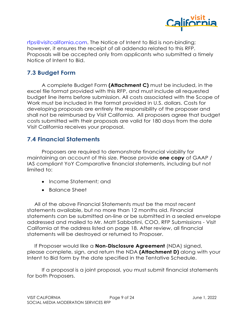

rfps@visitcalifornia.com. The Notice of Intent to Bid is non-binding; however, it ensures the receipt of all addenda related to this RFP. Proposals will be accepted only from applicants who submitted a timely Notice of Intent to Bid.

#### **7.3 Budget Form**

A complete Budget Form **(Attachment C)** must be included, in the excel file format provided with this RFP, and must include all requested budget line items before submission. All costs associated with the Scope of Work must be included in the format provided in U.S. dollars. Costs for developing proposals are entirely the responsibility of the proposer and shall not be reimbursed by Visit California. All proposers agree that budget costs submitted with their proposals are valid for 180 days from the date Visit California receives your proposal.

#### **7.4 Financial Statements**

Proposers are required to demonstrate financial viability for maintaining an account of this size. Please provide **one copy** of GAAP / IAS compliant YoY Comparative financial statements, including but not limited to:

- Income Statement: and
- Balance Sheet

All of the above Financial Statements must be the most recent statements available, but no more than 12 months old. Financial statements can be submitted on-line or be submitted in a sealed envelope addressed and mailed to Mr. Matt Sabbatini, COO, RFP Submissions - Visit California at the address listed on page 18. After review, all financial statements will be destroyed or returned to Proposer.

If Proposer would like a **Non-Disclosure Agreement** (NDA) signed, please complete, sign, and return the NDA **(Attachment D)** along with your Intent to Bid form by the date specified in the Tentative Schedule.

If a proposal is a joint proposal, you must submit financial statements for both Proposers.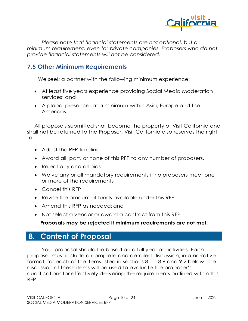

*Please note that financial statements are not optional, but a minimum requirement, even for private companies. Proposers who do not provide financial statements will not be considered.*

#### **7.5 Other Minimum Requirements**

We seek a partner with the following minimum experience:

- At least five years experience providing Social Media Moderation services; and
- A global presence, at a minimum within Asia, Europe and the Americas.

All proposals submitted shall become the property of Visit California and shall not be returned to the Proposer. Visit California also reserves the right to:

- Adjust the RFP timeline
- Award all, part, or none of this RFP to any number of proposers.
- Reject any and all bids
- Waive any or all mandatory requirements if no proposers meet one or more of the requirements
- Cancel this RFP
- Revise the amount of funds available under this RFP
- Amend this RFP as needed; and
- Not select a vendor or award a contract from this RFP

#### **Proposals may be rejected if minimum requirements are not met.**

#### <span id="page-9-0"></span>**8. Content of Proposal**

Your proposal should be based on a full year of activities. Each proposer must include a complete and detailed discussion, in a narrative format, for each of the items listed in sections 8.1 – 8.6 and 9.2 below. The discussion of these items will be used to evaluate the proposer's qualifications for effectively delivering the requirements outlined within this RFP.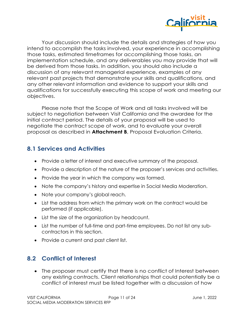

Your discussion should include the details and strategies of how you intend to accomplish the tasks involved, your experience in accomplishing those tasks, estimated timeframes for accomplishing those tasks, an implementation schedule, and any deliverables you may provide that will be derived from those tasks. In addition, you should also include a discussion of any relevant managerial experience, examples of any relevant past projects that demonstrate your skills and qualifications, and any other relevant information and evidence to support your skills and qualifications for successfully executing this scope of work and meeting our objectives.

Please note that the Scope of Work and all tasks involved will be subject to negotiation between Visit California and the awardee for the initial contract period. The details of your proposal will be used to negotiate the contract scope of work, and to evaluate your overall proposal as described in **Attachment B**, Proposal Evaluation Criteria.

#### **8.1 Services and Activities**

- Provide a letter of interest and executive summary of the proposal.
- Provide a description of the nature of the proposer's services and activities.
- Provide the year in which the company was formed.
- Note the company's history and expertise in Social Media Moderation.
- Note your company's global reach.
- List the address from which the primary work on the contract would be performed (if applicable).
- List the size of the organization by headcount.
- List the number of full-time and part-time employees. Do not list any subcontractors in this section.
- Provide a current and past client list.

#### **8.2 Conflict of Interest**

• The proposer must certify that there is no conflict of Interest between any existing contracts. Client relationships that could potentially be a conflict of interest must be listed together with a discussion of how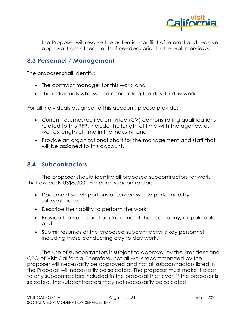

the Proposer will resolve the potential conflict of interest and receive approval from other clients, if needed, prior to the oral interviews.

#### **8.3 Personnel / Management**

The proposer shall identify:

- The contract manager for this work; and
- The individuals who will be conducting the day-to-day work.

For all individuals assigned to this account, please provide:

- Current resumes/curriculum vitae (CV) demonstrating qualifications related to this RFP. Include the length of time with the agency, as well as length of time in the industry; and
- Provide an organizational chart for the management and staff that will be assigned to this account.

#### **8.4 Subcontractors**

The proposer should identify all proposed subcontractors for work that exceeds US\$5,000. For each subcontractor:

- Document which portions of service will be performed by subcontractor;
- Describe their ability to perform the work;
- Provide the name and background of their company, if applicable; and
- Submit resumes of the proposed subcontractor's key personnel, including those conducting day to day work.

The use of subcontractors is subject to approval by the President and CEO of Visit California. Therefore, not all work recommended by the proposer will necessarily be approved and not all subcontractors listed in the Proposal will necessarily be selected. The proposer must make it clear to any subcontractors included in the proposal that even if the proposer is selected, the subcontractors may not necessarily be selected.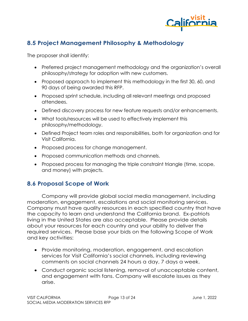

#### **8.5 Project Management Philosophy & Methodology**

The proposer shall identify:

- Preferred project management methodology and the organization's overall philosophy/strategy for adoption with new customers.
- Proposed approach to implement this methodology in the first 30, 60, and 90 days of being awarded this RFP.
- Proposed sprint schedule, including all relevant meetings and proposed attendees.
- Defined discovery process for new feature requests and/or enhancements.
- What tools/resources will be used to effectively implement this philosophy/methodology.
- Defined Project team roles and responsibilities, both for organization and for Visit California.
- Proposed process for change management.
- Proposed communication methods and channels.
- Proposed process for managing the triple constraint triangle (time, scope, and money) with projects.

#### **8.6 Proposal Scope of Work**

Company will provide global social media management, including moderation, engagement, escalations and social monitoring services. Company must have quality resources in each specified country that have the capacity to learn and understand the California brand. Ex-patriots living in the United States are also acceptable. Please provide details about your resources for each country and your ability to deliver the required services. Please base your bids on the following Scope of Work and key activities:

- Provide monitoring, moderation, engagement, and escalation services for Visit California's social channels, including reviewing comments on social channels 24 hours a day, 7 days a week.
- Conduct organic social listening, removal of unacceptable content, and engagement with fans. Company will escalate issues as they arise.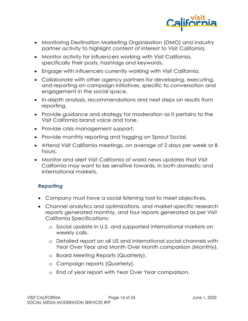

- Monitoring Destination Marketing Organization (DMO) and industry partner activity to highlight content of interest to Visit California.
- Monitor activity for influencers working with Visit California, specifically their posts, hashtags and keywords.
- Engage with influencers currently working with Visit California.
- Collaborate with other agency partners for developing, executing, and reporting on campaign initiatives, specific to conversation and engagement in the social space.
- In-depth analysis, recommendations and next steps on results from reporting.
- Provide guidance and strategy for moderation as it pertains to the Visit California brand voice and tone.
- Provide crisis management support.
- Provide monthly reporting and tagging on Sprout Social.
- Attend Visit California meetings, on average of 2 days per week or 8 hours.
- Monitor and alert Visit California of world news updates that Visit California may want to be sensitive towards, in both domestic and international markets.

#### *Reporting*

- Company must have a social listening tool to meet objectives.
- Channel analytics and optimizations, and market-specific research reports generated monthly, and four reports generated as per Visit California Specifications:
	- o Social update in U.S. and supported international markets on weekly calls.
	- o Detailed report on all US and international social channels with Year Over Year and Month Over Month comparison (Monthly).
	- o Board Meeting Reports (Quarterly).
	- o Campaign reports (Quarterly).
	- o End of year report with Year Over Year comparison.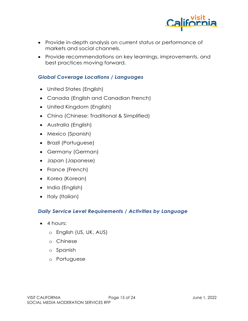

- Provide in-depth analysis on current status or performance of markets and social channels.
- Provide recommendations on key learnings, improvements, and best practices moving forward.

#### *Global Coverage Locations / Languages*

- United States (English)
- Canada (English and Canadian French)
- United Kingdom (English)
- China (Chinese: Traditional & Simplified)
- Australia (English)
- Mexico (Spanish)
- Brazil (Portuguese)
- Germany (German)
- Japan (Japanese)
- France (French)
- Korea (Korean)
- India (English)
- Italy (Italian)

#### *Daily Service Level Requirements / Activities by Language*

- 4 hours:
	- o English (US, UK, AUS)
	- o Chinese
	- o Spanish
	- o Portuguese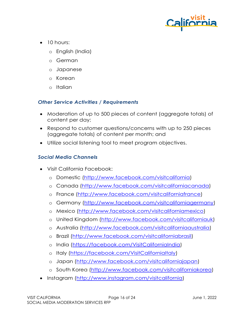

- 10 hours:
	- o English (India)
	- o German
	- o Japanese
	- o Korean
	- o Italian

#### *Other Service Activities / Requirements*

- Moderation of up to 500 pieces of content (aggregate totals) of content per day;
- Respond to customer questions/concerns with up to 250 pieces (aggregate totals) of content per month; and
- Utilize social listening tool to meet program objectives.

#### *Social Media Channels*

- Visit California Facebook:
	- o Domestic [\(http://www.facebook.com/visitcalifornia\)](http://www.facebook.com/visitcalifornia)
	- o Canada [\(http://www.facebook.com/visitcaliforniacanada\)](http://www.facebook.com/visitcaliforniacanada)
	- o France [\(http://www.facebook.com/visitcaliforniafrance\)](http://www.facebook.com/visitcaliforniafrance)
	- o Germany [\(http://www.facebook.com/visitcaliforniagermany\)](http://www.facebook.com/visitcaliforniagermany)
	- o Mexico [\(http://www.facebook.com/visitcaliforniamexico\)](http://www.facebook.com/visitcaliforniamexico)
	- o United Kingdom [\(http://www.facebook.com/visitcaliforniauk\)](http://www.facebook.com/visitcaliforniauk)
	- o Australia [\(http://www.facebook.com/visitcaliforniaaustralia\)](http://www.facebook.com/visitcaliforniaaustralia)
	- o Brazil [\(http://www.facebook.com/visitcaliforniabrasil\)](http://www.facebook.com/visitcaliforniabrasil)
	- o India [\(https://facebook.com/VisitCaliforniaIndia\)](https://facebook.com/VisitCaliforniaIndia)
	- o Italy [\(https://facebook.com/VisitCaliforniaItaly\)](https://facebook.com/VisitCaliforniaItaly)
	- o Japan [\(http://www.facebook.com/visitcaliforniajapan\)](http://www.facebook.com/visitcaliforniajapan)
	- o South Korea [\(http://www.facebook.com/visitcaliforniakorea\)](http://www.facebook.com/visitcaliforniakorea)
- Instagram [\(http://www.instagram.com/visitcalifornia\)](http://www.instagram.com/visitcalifornia)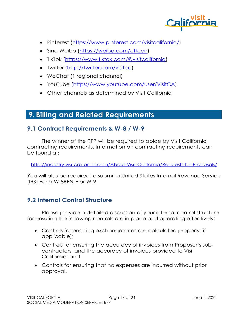

- Pinterest [\(https://www.pinterest.com/visitcalifornia/\)](https://www.pinterest.com/visitcalifornia/)
- Sina Weibo [\(https://weibo.com/cttccn\)](https://weibo.com/cttccn)
- TikTok [\(https://www.tiktok.com/@visitcalifornia\)](https://www.tiktok.com/@visitcalifornia)
- Twitter [\(http://twitter.com/visitca\)](http://twitter.com/visitca)
- WeChat (1 regional channel)
- YouTube [\(https://www.youtube.com/user/VisitCA\)](https://www.youtube.com/user/VisitCA)
- Other channels as determined by Visit California

### <span id="page-16-0"></span>**9. Billing and Related Requirements**

#### **9.1 Contract Requirements & W-8 / W-9**

The winner of the RFP will be required to abide by Visit California contracting requirements. Information on contracting requirements can be found at**:** 

<http://industry.visitcalifornia.com/About-Visit-California/Requests-for-Proposals/>

You will also be required to submit a United States Internal Revenue Service (IRS) Form W-8BEN-E or W-9.

#### **9.2 Internal Control Structure**

Please provide a detailed discussion of your internal control structure for ensuring the following controls are in place and operating effectively:

- Controls for ensuring exchange rates are calculated properly (if applicable);
- Controls for ensuring the accuracy of invoices from Proposer's subcontractors, and the accuracy of invoices provided to Visit California; and
- Controls for ensuring that no expenses are incurred without prior approval.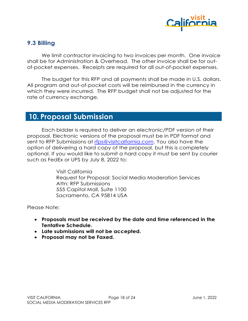

#### **9.3 Billing**

We limit contractor invoicing to two invoices per month. One invoice shall be for Administration & Overhead. The other invoice shall be for outof-pocket expenses. Receipts are required for all out-of-pocket expenses.

The budget for this RFP and all payments shall be made in U.S. dollars. All program and out-of-pocket costs will be reimbursed in the currency in which they were incurred. The RFP budget shall not be adjusted for the rate of currency exchange.

#### <span id="page-17-0"></span>**10. Proposal Submission**

Each bidder is required to deliver an electronic/PDF version of their proposal. Electronic versions of the proposal must be in PDF format and sent to RFP Submissions at [rfps@visitcalfornia.com.](mailto:rfps@visitcalfornia.com) You also have the option of delivering a hard copy of the proposal, but this is completely optional. If you would like to submit a hard copy it must be sent by courier such as FedEx or UPS by July 8, 2022 to:

> Visit California Request for Proposal: Social Media Moderation Services Attn: RFP Submissions 555 Capitol Mall, Suite 1100 Sacramento, CA 95814 USA

Please Note:

- **Proposals must be received by the date and time referenced in the Tentative Schedule.**
- **Late submissions will not be accepted.**
- **Proposal may not be Faxed.**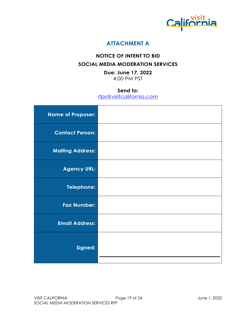

#### **ATTACHMENT A**

#### <span id="page-18-0"></span>**NOTICE OF INTENT TO BID SOCIAL MEDIA MODERATION SERVICES**

**Due: June 17, 2022** 4:00 PM PST

#### **Send to:**

[rfps@visitcalifornia.com](mailto:rfps@visitcalifornia.com)

| <b>Name of Proposer:</b> |  |
|--------------------------|--|
| <b>Contact Person:</b>   |  |
| <b>Mailing Address:</b>  |  |
| <b>Agency URL:</b>       |  |
| Telephone:               |  |
| <b>Fax Number:</b>       |  |
| <b>Email Address:</b>    |  |
| Signed:                  |  |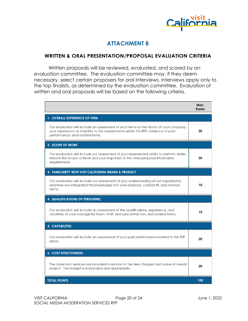

#### **ATTACHMENT B**

#### <span id="page-19-0"></span>**WRITTEN & ORAL PRESENTATION/PROPOSAL EVALUATION CRITERIA**

Written proposals will be reviewed, evaluated, and scored by an evaluation committee. The evaluation committee may, if they deem necessary, select certain proposers for oral interviews. Interviews apply only to the top finalists, as determined by the evaluation committee. Evaluation of written and oral proposals will be based on the following criteria.

|                                                                                                                                                                                                                   | Max.<br><b>Points</b> |
|-------------------------------------------------------------------------------------------------------------------------------------------------------------------------------------------------------------------|-----------------------|
| <b>1. OVERALL EXPERIENCE OF FIRM</b>                                                                                                                                                                              |                       |
| Our evaluation will include an assessment of such items as the history of your company,<br>your experience as it relates to the requirements within this RFP, evidence of past<br>performance, and related items. | 20                    |
| 2. SCOPE OF WORK                                                                                                                                                                                                  |                       |
| Our evaluation will include our assessment of your represented ability to perform duties<br>listed in the Scope of Work and your responses to the other proposal information<br>requirements.                     | 20                    |
| <b>3. FAMILIARITY WITH VISIT CALIFORNIA BRAND &amp; PRODUCT</b>                                                                                                                                                   |                       |
| Our evaluation will include our assessment of your understanding of our organization<br>and how you integrated this knowledge into your proposal, cultural fit, and related<br>items.                             | 10                    |
| <b>4. QUALIFICATIONS OF PERSONNEL</b>                                                                                                                                                                             |                       |
| Our evaluation will include an assessment of the qualifications, experience, and<br>creativity of your managerial team, staff, and subcontractors, and related items.                                             | 10                    |
| <b>5. CAPABILITIES</b>                                                                                                                                                                                            |                       |
| Our evaluation will include an assessment of your past performance related to this RFP<br>areas.                                                                                                                  | 20                    |
| <b>6. COST EFFECTIVENESS</b>                                                                                                                                                                                      |                       |
| The maximum services are provided in relation to the fees charged and value of overall<br>project. The budget is reasonable and appropriate.                                                                      | 20                    |
| <b>TOTAL POINTS</b>                                                                                                                                                                                               | 100                   |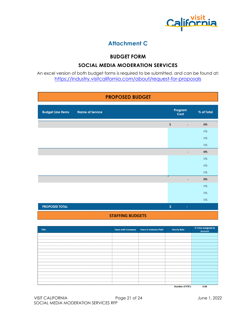

#### **Attachment C**

#### **BUDGET FORM**

#### **SOCIAL MEDIA MODERATION SERVICES**

<span id="page-20-0"></span>An excel version of both budget forms is required to be submitted, and can be found at: <https://industry.visitcalifornia.com/about/request-for-proposals>

#### **PROPOSED BUDGET**

| <b>Budget Line Items</b> | <b>Name of Service</b> |                           | Program<br>Cost             | % of Total |
|--------------------------|------------------------|---------------------------|-----------------------------|------------|
|                          |                        | $\boldsymbol{\mathsf{S}}$ | ٠                           | 0%         |
|                          |                        |                           |                             | $0\%$      |
|                          |                        |                           |                             | 0%         |
|                          |                        |                           |                             | $0\%$      |
|                          |                        |                           | ٠                           | 0%         |
|                          |                        |                           |                             | $0\%$      |
|                          |                        |                           |                             | 0%         |
|                          |                        |                           |                             | 0%         |
|                          |                        |                           |                             | $0\%$      |
|                          |                        |                           |                             | $0\%$      |
|                          |                        |                           |                             | $0\%$      |
|                          |                        |                           |                             | $0\%$      |
| <b>PROPOSED TOTAL</b>    |                        | $\mathsf{S}$              | $\mathcal{L}_{\mathcal{A}}$ |            |
|                          |                        |                           |                             |            |

#### **STAFFING BUDGETS**

| Title | <b>Years with Company</b> | <b>Years in Industry Field</b> | <b>Hourly Rate</b>     | % Time Assigned to<br><b>Account</b> |
|-------|---------------------------|--------------------------------|------------------------|--------------------------------------|
|       |                           |                                |                        |                                      |
|       |                           |                                |                        |                                      |
|       |                           |                                |                        |                                      |
|       |                           |                                |                        |                                      |
|       |                           |                                |                        |                                      |
|       |                           |                                |                        |                                      |
|       |                           |                                |                        |                                      |
|       |                           |                                |                        |                                      |
|       |                           |                                |                        |                                      |
|       |                           |                                |                        |                                      |
|       |                           |                                |                        |                                      |
|       |                           |                                |                        |                                      |
|       |                           |                                |                        |                                      |
|       |                           |                                |                        |                                      |
|       |                           |                                |                        |                                      |
|       |                           |                                |                        |                                      |
|       |                           |                                | <b>Number of FTE's</b> | 0.00                                 |

**Number of FTE's**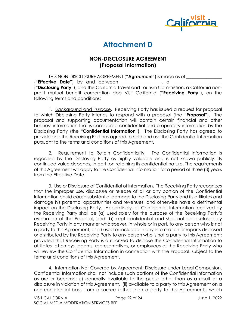

#### **Attachment D**

#### **NON-DISCLOSURE AGREEMENT (Proposal Information)**

<span id="page-21-0"></span>THIS NON-DISCLOSURE AGREEMENT ("**Agreement**") is made as of \_\_\_\_\_\_\_\_\_\_\_\_\_\_\_\_ ("**Effective Date**") by and between \_\_\_\_\_\_\_\_\_\_\_\_\_\_\_\_\_\_, a \_\_\_\_\_\_\_\_\_\_\_\_\_\_\_\_\_\_\_\_\_\_ ("**Disclosing Party**"), and the California Travel and Tourism Commission, a California nonprofit mutual benefit corporation dba Visit California ("**Receiving Party**"), on the following terms and conditions:

1. Background and Purpose. Receiving Party has issued a request for proposal to which Disclosing Party intends to respond with a proposal (the "**Proposal**"). The proposal and supporting documentation will contain certain financial and other business information that is considered confidential and proprietary information by the Disclosing Party (the "**Confidential Information**"). The Disclosing Party has agreed to provide and the Receiving Part has agreed to hold and use the Confidential Information pursuant to the terms and conditions of this Agreement.

2. Requirement to Retain Confidentiality. The Confidential Information is regarded by the Disclosing Party as highly valuable and is not known publicly. Its continued value depends, in part, on retaining its confidential nature. The requirements of this Agreement will apply to the Confidential Information for a period of three (3) years from the Effective Date.

3. Use or Disclosure of Confidential of Information. The Receiving Party recognizes that the improper use, disclosure or release of all or any portion of the Confidential Information could cause substantial damage to the Disclosing Party and its affiliates and damage his potential opportunities and revenues, and otherwise have a detrimental impact on the Disclosing Party. Accordingly, all Confidential Information received by the Receiving Party shall be (a) used solely for the purpose of the Receiving Party's evaluation of the Proposal, and (b) kept confidential and shall not be disclosed by Receiving Party in any manner whatsoever, in whole or in part, to any person who is not a party to this Agreement, or (ii) used or included in any information or reports disclosed or distributed by the Receiving Party to any person who is not a party to this Agreement; provided that Receiving Party is authorized to disclose the Confidential Information to affiliates, attorneys, agents, representatives, or employees of the Receiving Party who will review the Confidential Information in connection with the Proposal, subject to the terms and conditions of this Agreement.

4. Information Not Covered by Agreement; Disclosure under Legal Compulsion. Confidential Information shall not include such portions of the Confidential Information as are or become: (i) generally available to the public other than as a result of a disclosure in violation of this Agreement, (ii) available to a party to this Agreement on a non-confidential basis from a source (other than a party to this Agreement), which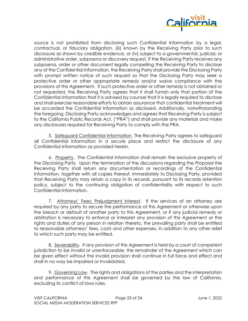

source is not prohibited from disclosing such Confidential Information by a legal, contractual, or fiduciary obligation, (iii) known by the Receiving Party prior to such disclosure as shown by credible evidence, or (iv) subject to a governmental, judicial, or administrative order, subpoena or discovery request. If the Receiving Party receives any subpoena, order or other document legally compelling the Receiving Party to disclose any of the Confidential Information, the Receiving Party shall provide the Disclosing Party with prompt written notice of such request so that the Disclosing Party may seek a protective order or other appropriate remedy and/or waive compliance with the provisions of this Agreement. If such protective order or other remedy is not obtained or not requested, the Receiving Party agrees that it shall furnish only that portion of the Confidential Information that it is advised by counsel that it is legally required to disclose and shall exercise reasonable efforts to obtain assurance that confidential treatment will be accorded the Confidential Information so disclosed. Additionally, notwithstanding the foregoing, Disclosing Party acknowledges and agrees that Receiving Party is subject to the California Public Records Act, ("PRA") and shall provide any materials and make any disclosures required for Receiving Party to comply with the PRA.

5. Safeguard Confidential Information. The Receiving Party agrees to safeguard all Confidential Information in a secure place and restrict the disclosure of any Confidential Information as provided herein.

6. Property. The Confidential Information shall remain the exclusive property of the Disclosing Party. Upon the termination of the discussions regarding the Proposal the Receiving Party shall return any documentation or recordings of the Confidential Information, together with all copies thereof, immediately to Disclosing Party, provided that Receiving Party may retain a copy in its records, pursuant to its records retention policy, subject to the continuing obligation of confidentiality with respect to such Confidential Information.

7. Attorneys' Fees; Prejudgment Interest. If the services of an attorney are required by any party to secure the performance of this Agreement or otherwise upon the breach or default of another party to this Agreement, or if any judicial remedy or arbitration is necessary to enforce or interpret any provision of this Agreement or the rights and duties of any person in relation thereto, the prevailing party shall be entitled to reasonable attorneys' fees, costs and other expenses, in addition to any other relief to which such party may be entitled.

8. Severability. If any provision of this Agreement is held by a court of competent jurisdiction to be invalid or unenforceable, the remainder of the Agreement which can be given effect without the invalid provision shall continue in full force and effect and shall in no way be impaired or invalidated.

9. Governing Law. The rights and obligations of the parties and the interpretation and performance of this Agreement shall be governed by the law of California, excluding its conflict of laws rules.